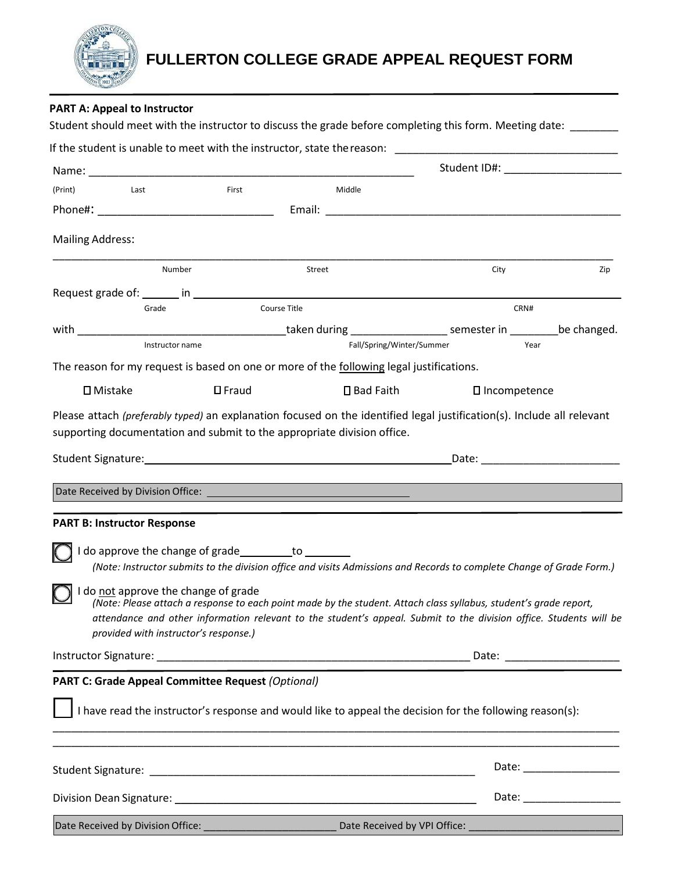

# **FULLERTON COLLEGE GRADE APPEAL REQUEST FORM**

|                                                                                         | Name: Name:                                                                                                                                                                                                                             |                           |                |                           |
|-----------------------------------------------------------------------------------------|-----------------------------------------------------------------------------------------------------------------------------------------------------------------------------------------------------------------------------------------|---------------------------|----------------|---------------------------|
| (Print)<br><b>Example 12</b>                                                            | First                                                                                                                                                                                                                                   | Middle                    |                |                           |
|                                                                                         |                                                                                                                                                                                                                                         |                           |                |                           |
| <b>Mailing Address:</b>                                                                 |                                                                                                                                                                                                                                         |                           |                |                           |
| Number                                                                                  | Street                                                                                                                                                                                                                                  |                           | City           | Zip                       |
|                                                                                         |                                                                                                                                                                                                                                         |                           |                |                           |
| Grade                                                                                   | Course Title                                                                                                                                                                                                                            |                           | CRN#           |                           |
|                                                                                         |                                                                                                                                                                                                                                         |                           |                |                           |
| Instructor name                                                                         |                                                                                                                                                                                                                                         | Fall/Spring/Winter/Summer | Year           |                           |
|                                                                                         | The reason for my request is based on one or more of the following legal justifications.                                                                                                                                                |                           |                |                           |
| $\square$ Mistake                                                                       | $\square$ Fraud                                                                                                                                                                                                                         | □ Bad Faith               | □ Incompetence |                           |
|                                                                                         | Date Received by Division Office: <u>Communication of the Communication of the Communication of the Communication</u>                                                                                                                   |                           |                |                           |
|                                                                                         |                                                                                                                                                                                                                                         |                           |                |                           |
|                                                                                         |                                                                                                                                                                                                                                         |                           |                |                           |
| <b>PART B: Instructor Response</b>                                                      | I do approve the change of grade _________ to ________<br>(Note: Instructor submits to the division office and visits Admissions and Records to complete Change of Grade Form.)                                                         |                           |                |                           |
| I do not approve the change of grade<br>$\sim$<br>provided with instructor's response.) | (Note: Please attach a response to each point made by the student. Attach class syllabus, student's grade report,<br>attendance and other information relevant to the student's appeal. Submit to the division office. Students will be |                           |                |                           |
|                                                                                         |                                                                                                                                                                                                                                         |                           |                |                           |
|                                                                                         | <b>PART C: Grade Appeal Committee Request (Optional)</b>                                                                                                                                                                                |                           |                |                           |
|                                                                                         | I have read the instructor's response and would like to appeal the decision for the following reason(s):                                                                                                                                |                           |                |                           |
|                                                                                         |                                                                                                                                                                                                                                         |                           |                | Date: ___________________ |
|                                                                                         |                                                                                                                                                                                                                                         |                           |                |                           |